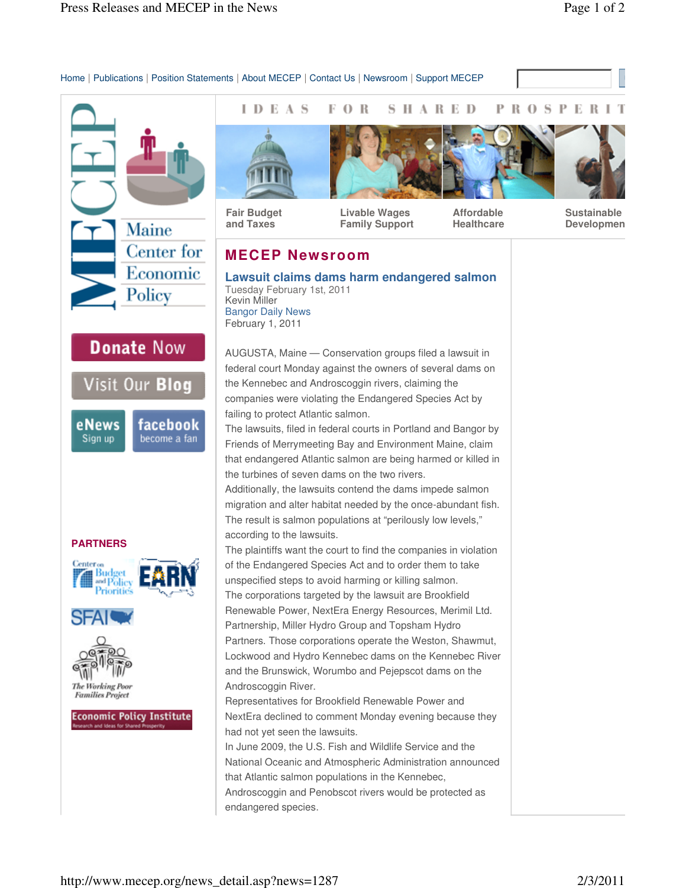